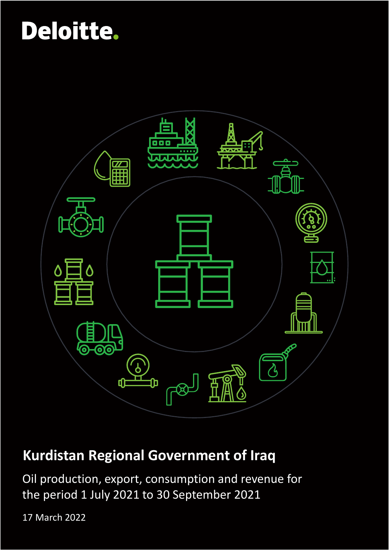

## **Kurdistan Regional Government of Iraq**

Oil production, export, consumption and revenue for the period 1 July 2021 to 30 September 2021

17 March 2022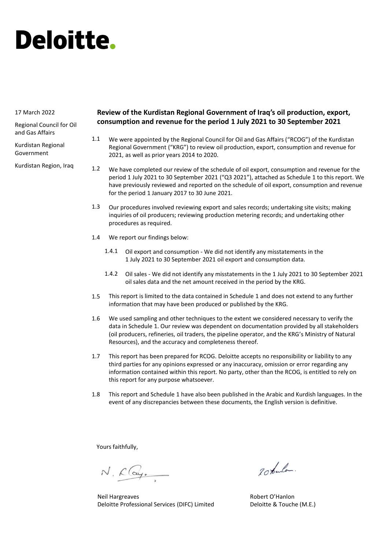#### 17 March 2022

Regional Council for Oil and Gas Affairs

Kurdistan Regional Government

Kurdistan Region, Iraq

#### **Review of the Kurdistan Regional Government of Iraq's oil production, export, consumption and revenue for the period 1 July 2021 to 30 September 2021**

- We were appointed by the Regional Council for Oil and Gas Affairs ("RCOG") of the Kurdistan Regional Government ("KRG") to review oil production, export, consumption and revenue for 2021, as well as prior years 2014 to 2020. 1.1
- We have completed our review of the schedule of oil export, consumption and revenue for the period 1 July 2021 to 30 September 2021 ("Q3 2021"), attached as Schedule 1 to this report. We have previously reviewed and reported on the schedule of oil export, consumption and revenue for the period 1 January 2017 to 30 June 2021. 1.2
- Our procedures involved reviewing export and sales records; undertaking site visits; making inquiries of oil producers; reviewing production metering records; and undertaking other procedures as required. 1.3
- We report our findings below: 1.4
	- Oil export and consumption We did not identify any misstatements in the 1 July 2021 to 30 September 2021 oil export and consumption data. 1.4.1
	- Oil sales We did not identify any misstatements in the 1 July 2021 to 30 September 2021 1.4.2 oil sales data and the net amount received in the period by the KRG.
- This report is limited to the data contained in Schedule 1 and does not extend to any further information that may have been produced or published by the KRG. 1.5
- We used sampling and other techniques to the extent we considered necessary to verify the data in Schedule 1. Our review was dependent on documentation provided by all stakeholders (oil producers, refineries, oil traders, the pipeline operator, and the KRG's Ministry of Natural Resources), and the accuracy and completeness thereof. 1.6
- This report has been prepared for RCOG. Deloitte accepts no responsibility or liability to any third parties for any opinions expressed or any inaccuracy, omission or error regarding any information contained within this report. No party, other than the RCOG, is entitled to rely on this report for any purpose whatsoever. 1.7
- This report and Schedule 1 have also been published in the Arabic and Kurdish languages. In the event of any discrepancies between these documents, the English version is definitive. 1.8

Yours faithfully,

N. Clay.

Neil Hargreaves Deloitte Professional Services (DIFC) Limited

20 tanlos.

Robert O'Hanlon Deloitte & Touche (M.E.)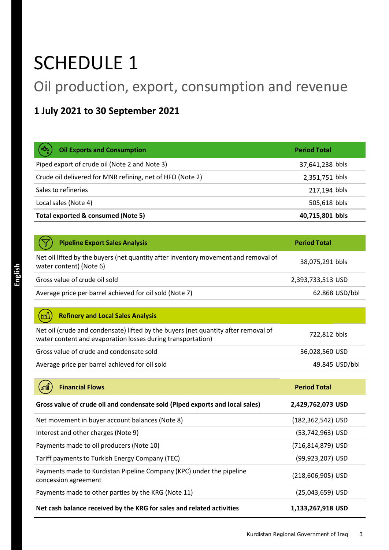## SCHEDULE 1

## Oil production, export, consumption and revenue

### **1 July 2021 to 30 September 2021**

| ڊ7)<br><b>Oil Exports and Consumption</b>                 | <b>Period Total</b> |
|-----------------------------------------------------------|---------------------|
| Piped export of crude oil (Note 2 and Note 3)             | 37,641,238 bbls     |
| Crude oil delivered for MNR refining, net of HFO (Note 2) | 2,351,751 bbls      |
| Sales to refineries                                       | 217,194 bbls        |
| Local sales (Note 4)                                      | 505,618 bbls        |
| Total exported & consumed (Note 5)                        | 40,715,801 bbls     |

| <b>Pipeline Export Sales Analysis</b>                                                                         | <b>Period Total</b> |
|---------------------------------------------------------------------------------------------------------------|---------------------|
| Net oil lifted by the buyers (net quantity after inventory movement and removal of<br>water content) (Note 6) | 38,075,291 bbls     |
| Gross value of crude oil sold                                                                                 | 2,393,733,513 USD   |
| Average price per barrel achieved for oil sold (Note 7)                                                       | 62.868 USD/bbl      |

| Net oil (crude and condensate) lifted by the buyers (net quantity after removal of<br>water content and evaporation losses during transportation) | 722,812 bbls   |
|---------------------------------------------------------------------------------------------------------------------------------------------------|----------------|
| Gross value of crude and condensate sold                                                                                                          | 36,028,560 USD |
| Average price per barrel achieved for oil sold                                                                                                    | 49.845 USD/bbl |

| <b>Financial Flows</b><br><b>and</b>                                                         | <b>Period Total</b>  |
|----------------------------------------------------------------------------------------------|----------------------|
| Gross value of crude oil and condensate sold (Piped exports and local sales)                 | 2,429,762,073 USD    |
| Net movement in buyer account balances (Note 8)                                              | (182,362,542) USD    |
| Interest and other charges (Note 9)                                                          | $(53, 742, 963)$ USD |
| Payments made to oil producers (Note 10)                                                     | (716,814,879) USD    |
| Tariff payments to Turkish Energy Company (TEC)                                              | (99,923,207) USD     |
| Payments made to Kurdistan Pipeline Company (KPC) under the pipeline<br>concession agreement | (218,606,905) USD    |
| Payments made to other parties by the KRG (Note 11)                                          | $(25,043,659)$ USD   |
| Net cash balance received by the KRG for sales and related activities                        | 1,133,267,918 USD    |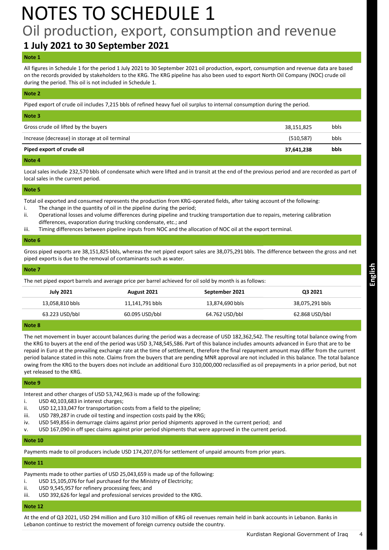## NOTES TO SCHEDULE 1 Oil production, export, consumption and revenue

### **1 July 2021 to 30 September 2021**

#### **Note 1**

All figures in Schedule 1 for the period 1 July 2021 to 30 September 2021 oil production, export, consumption and revenue data are based on the records provided by stakeholders to the KRG. The KRG pipeline has also been used to export North Oil Company (NOC) crude oil during the period. This oil is not included in Schedule 1.

#### **Note 2**

Piped export of crude oil includes 7,215 bbls of refined heavy fuel oil surplus to internal consumption during the period.

| Note 3                                         |            |      |
|------------------------------------------------|------------|------|
| Gross crude oil lifted by the buyers           | 38,151,825 | bbls |
| Increase (decrease) in storage at oil terminal | (510, 587) | bbls |
| Piped export of crude oil                      | 37,641,238 | bbls |
|                                                |            |      |

#### **Note 4**

Local sales include 232,570 bbls of condensate which were lifted and in transit at the end of the previous period and are recorded as part of local sales in the current period.

#### **Note 5**

Total oil exported and consumed represents the production from KRG-operated fields, after taking account of the following:

- i. The change in the quantity of oil in the pipeline during the period;
- ii. Operational losses and volume differences during pipeline and trucking transportation due to repairs, metering calibration differences, evaporation during trucking condensate, etc.; and
- iii. Timing differences between pipeline inputs from NOC and the allocation of NOC oil at the export terminal.

#### **Note 6**

Gross piped exports are 38,151,825 bbls, whereas the net piped export sales are 38,075,291 bbls. The difference between the gross and net piped exports is due to the removal of contaminants such as water.

| Note 7           |                 |                                                                                                         |                 |
|------------------|-----------------|---------------------------------------------------------------------------------------------------------|-----------------|
|                  |                 | The net piped export barrels and average price per barrel achieved for oil sold by month is as follows: |                 |
| <b>July 2021</b> | August 2021     | September 2021                                                                                          | Q3 2021         |
| 13,058,810 bbls  | 11,141,791 bbls | 13,874,690 bbls                                                                                         | 38,075,291 bbls |
| 63.223 USD/bbl   | 60.095 USD/bbl  | 64.762 USD/bbl                                                                                          | 62.868 USD/bbl  |

#### **Note 8**

The net movement in buyer account balances during the period was a decrease of USD 182,362,542. The resulting total balance owing from the KRG to buyers at the end of the period was USD 3,748,545,586. Part of this balance includes amounts advanced in Euro that are to be repaid in Euro at the prevailing exchange rate at the time of settlement, therefore the final repayment amount may differ from the current period balance stated in this note. Claims from the buyers that are pending MNR approval are not included in this balance. The total balance owing from the KRG to the buyers does not include an additional Euro 310,000,000 reclassified as oil prepayments in a prior period, but not yet released to the KRG.

#### **Note 9**

Interest and other charges of USD 53,742,963 is made up of the following:

- i. USD 40,103,683 in interest charges;
- ii. USD 12,133,047 for transportation costs from a field to the pipeline;
- iii. USD 789,287 in crude oil testing and inspection costs paid by the KRG;
- iv. USD 549,856 in demurrage claims against prior period shipments approved in the current period; and
- v. USD 167,090 in off spec claims against prior period shipments that were approved in the current period.

#### **Note 10**

Payments made to oil producers include USD 174,207,076 for settlement of unpaid amounts from prior years.

#### **Note 11**

Payments made to other parties of USD 25,043,659 is made up of the following:

- i. USD 15,105,076 for fuel purchased for the Ministry of Electricity;
- ii. USD 9,545,957 for refinery processing fees; and
- iii. USD 392,626 for legal and professional services provided to the KRG.

#### **Note 12**

At the end of Q3 2021, USD 294 million and Euro 310 million of KRG oil revenues remain held in bank accounts in Lebanon. Banks in Lebanon continue to restrict the movement of foreign currency outside the country.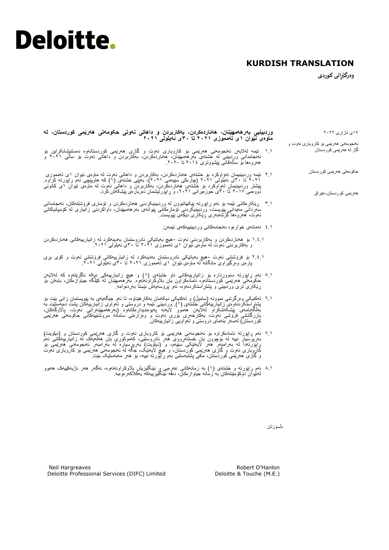### **KURDISH TRANSLATION**

**وەرگێڕانى كوردی** 

۱٧ی ئازاری ۲۰۲۲ ئەنجومەنی هەرێمی بۆ کاروباری نەوت و گاز لە هەرێمی کوردستان حکومەتی هەرێمی کوردستان هەرێمی کوردستان-عێراق **وردبینیی بەرهەمهێنان، هەناردەکردن، بەکاربردن و داهاتی نەوتی حکومەتی هەرێمی کوردستان، لە ماوەی نێوان ۱ى تەمموزی ٢٠٢۱ تا ۳٠ى ئەیلولی ٢٠٢۱** ۱.۱ ئێمە لەالیەن ئەنجومەنی هەرێمی بۆ كاروبارى نەوت و گازی هەرێمی کوردستانەوە دەستنیشانکراین بۆ ئەنجامدانی وردبینی لە خشتەی بەرهەمهێنان، هەناردەکردن، بەکاربردن و داهاتی نەوت بۆ ساڵی ۲۰۲۱ و هەروەها بۆ ساڵەكانی پێشووتری ۲۰۱٤ تا .۲۰۲۰ ۲.۱ ئێمە وردبینیمان تەواوكرد بۆ خشتەی هەناردەکردن، بەکاربردن و داهاتی نەوت لە ماوەی نێوان ۱ى تەمموزی ۲۰۲۱ تا ٣۰ی ئەیلولی ۲۰۲۱ )چارەكی سێیەمی ۲۰۲۱(، بەپێى خشتەی )۱( كە هاوپێچی ئەم راپۆرتە کراوە. پێشتر وردبینیمان تەواوكرد بۆ خشتەی هەناردەكردن، بەكاربردن و داهاتی نەوت لە ماوەی نێوان ۱ى کانونی دووەمی ۲۰۱٧ تا ٣۰ى حوزەیرانی ،۲۰۲۱ و ڕاپۆرتیشمان دەربارەی پێشکەش کرد. ٣.۱ ڕێکارەکانی ئێمە بۆ ئەم ڕاپۆرتە پێکهاتبوون لە وردبینیکردنی هەناردەکردن و تۆماری فرۆشتنەکان، ئەنجامدانی سەردانی مەیدانی پێویست، وردبینیکردنی تۆمارەکانی پێوانەی بەرهەمهێنان، داواكردنى زانیارى لە کۆمپانیاکانی نەوت، هەروەها گرتنەبەری ڕێکاری دیكەى پێویست. ٤.۱ ئەمانەی خوارەوە ئەنجامەکانی وردبینییەکەی ئێمەن: ۱.٤.۱ بۆ هەناردەکردن و بەکاربردنی نەوت -هیچ بەیانێکی نادروستمان بەدینەکرد لە زانیارییەکانی هەناردەکردن و بەکاربردنی نەوت لە ماوەی نێوان ۱ى تەمموزی ۲۰۲۱ تا ٣۰ی ئەیلولی .۲۰۲۱ ۲.٤.۱ بۆ فرۆشتنی نەوت -هیچ بەیانێکی نادروستمان بەدینەکرد لە زانیارییەکانی فرۆشتنی نەوت و کۆی بڕی پارەی وەرگیراوی مانگانە لە ماوەی نێوان ۱ى تەمموزی ۲۰۲۱ تا ٣۰ی ئەیلولی .۲۰۲۱ 5.۱ ئەم ڕاپۆرتە سنووردارە بۆ زانیارییەکانی ناو خشتەی )۱( و هیچ زانیارییەکی دیکە ناگرێتەوە کە لەالیەن حکومەتی ھەرێمی کوردستانـەوە ئامادەکراون یان بلاوکراونـەتـەوە. بـەرھەممهێنان لـه کێلگە جیاوازەکان، بـابـەتن بۆ ڕێکاری تری وردبینی و پشتڕاستکردنەوە، ئەو پرۆسەیەش ئێستا بەردەوامە. 6.۱ تەکنیکی وەرگرتنی نموونە )سامپڵ( و تەکنیکی دیکەمان بەکارهێناوە، تا ئەو جێگەیەی بە پێویستمان زانی بێت بۆ پشتر استکردنـەوەی زانـیارییـهکانـی خشتەی (۱)<sub>.</sub> وردبینـی ئێمه و دروستـی و تـەواوی زاننیارییبەکان پشت دەپەستێت بە بەڵگەنامەی پێشکەشکراو لەالیەن هەموو الیەنە پەیوەندیدارەکانەوە )بەرهەمهێنەرانی نەوت، پااڵوگەکان، بازرگانانی فرۆشى نەوت، بەکارخەری بۆری نەوت و وەزارەتی سامانە سروشتییەکانی حکومەتی هەرێمی کوردستان) لەسەر بنەمای دروستى و تەواويى زانيارييەكان. ٧.۱ ئەم ڕاپۆرتە ئامادەکراوە بۆ ئەنجومەنی هەرێمی بۆ كاروبارى نەوت و گازی هەرێمی کوردستان و )دیلۆیت(

- بەرپرسیار نییه له بۆچوون یان خستنەرووی هەر نادروستیی، کەموکوری یان هالمەیک له زانیارییەکانی ئەم<br>راپزرتەدا له بەرامبەر هەر لایەننکی سنیەم، و (دیلزیت) بەرپرسیاره له بەرامبەر ئەنجومەنی هەربمی بۆ كاروبارى نەوت و گازی هەرێمی کوردستان، و هیچ الیەنێک، جگە لە ئەنجومەنی هەرێمی بۆ كاروبارى نەوت و گازی هەرێمی کوردستان، مافی پشتبەستنی بەم ڕاپۆرتە نییە، بۆ هەر مەبەستێک بێت.
- 8.۱ ئەم ڕاپۆرتە و خشتەی )۱( بە زمانەکانی عەرەبی و ئینگلیزیش باڵوکراونەتەوە، ئەگەر هەر دژیەکییەک هەبوو لەنێوان دۆکۆمێنتەکان بە زمانە جیاوازەکان، دەقە ئینگلیزییەکە یەکالکەرەوەیە.

دڵسۆزتان

Robert O'Hanlon Deloitte & Touche (M.E.)

Neil Hargreaves Deloitte Professional Services (DIFC) Limited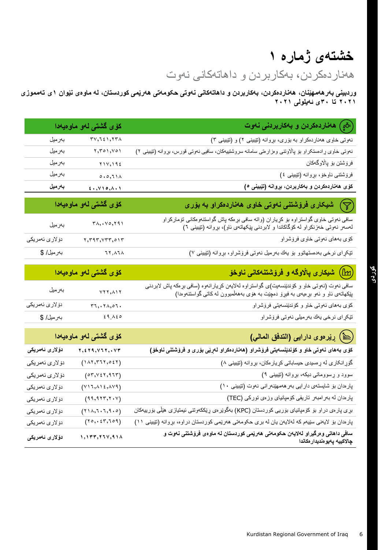## **خشتەی ژمارە ۱**

هەناردەکردن، بەکاربردن و داهاتەكانى نەوت

**وردبینی بەرهەمهێنان، هەناردەکردن، بەکاربردن و داهاتەكانی نەوتی حکومەتی هەرێمی کوردستان، لە ماوەی نێوان ۱ى تەمموزی ٢٠٢۱ تا ۳٠ی ئەیلولی ٢٠٢۱**

|                                          | كۆى گشتى لەو ماوەيەدا                                                                             | ( گِمْ ) هەناردەكردن و بەكاربردنى نەوت                                                                                                                                     |
|------------------------------------------|---------------------------------------------------------------------------------------------------|----------------------------------------------------------------------------------------------------------------------------------------------------------------------------|
| بەرمىل                                   | $\mathbf{r}\mathbf{v},\mathbf{t}$ is a set $\mathbf{r}\mathbf{v}$                                 | نهوتی خاوی ههناردهکراو به بۆری، بړوانه (نێبینی ۲) و (نێبینی ۳)                                                                                                             |
| بەرمىل                                   | 5,501,701                                                                                         | نەوتى خاوى ړادهستكراو بۆ پالاوتنى وەزارەتى سامانه سروشتىيەكان، سافيى نەوتى قورس، بړوانه (تێبينى ٢)                                                                         |
| بەرمىل                                   | $Y \cup Y, Y \in \Sigma$                                                                          | فرۆشتن بۆ پالاوگەكان                                                                                                                                                       |
| بەرمىل                                   | 0.0,11                                                                                            | فرۆشتنى ناوخۆ، بړوانه (تێيينى ٤)                                                                                                                                           |
| بەرمىل                                   | 5.7                                                                                               | كۆى ھەناردەكردن و بەكارېردن، بړوانە (تێبينى ٥)                                                                                                                             |
|                                          | کۆی گشتی لەو ماوەي <mark>ەد</mark> ا                                                              | شیکاری فرۆشتنی نەوتی خاوی ھەناردەكراو بە بۆرى $(\bigtriangledown)$                                                                                                         |
| بەرمىل                                   | $\mathsf{r}_{\lambda}, \mathsf{v}_{\circ}, \mathsf{r}_{\mathfrak{q}}$                             | سافی نەوتی خاوی گواستراوه بۆ كړياران (واته سافی بړهكه پاش گواستنەومكانی تۆماركراو<br>لەسەر نەوتی خەزنكراو لە كۆگاكاندا و لابردنی پێكهاتەی ئاو)، بړوانه (تێيينی ٦)          |
| دۆلارى ئەمرىكى                           | $r, r, r, r, r, \circ r$                                                                          | كۆي بەھاي نەوتى خاوي فرۆشراو                                                                                                                                               |
| بەرمىل/ \$                               | 11,11                                                                                             | تێکڕای نرخی بهدهستهاتوو بۆ یەك بەرمىل نەوتى فرۆشراو، بړوانه (نێبينی ٧)                                                                                                     |
|                                          | <mark>كۆى گشتى لە</mark> ق ماۋەيەدا                                                               | (ا <i>تال)</i> شیکاری پالاوگه و فروشتنهکانی ناوخو                                                                                                                          |
| بەرمىل                                   | YYY, AYY                                                                                          | سافی نەوت (نەوتى خاو و كۆندێنسەيت)ى گواستراوە لەلايەن كړيارانەوە (سافى بړەكە پاش لابردنى<br>پێكهاتەي ئاو و ئەو بړەيەي بە فيړۆ دەچێت بە ھۆي بەھەلمىبوون لەكاتى گواستنەوەدا) |
| دۆ لا <i>ر ی</i> ئە <i>مر</i> يكى        | $r_1, r_{\Lambda,01}.$                                                                            | کۆي بەھاي نەوتى خاو و كۆندێنسەيتى فرۆشراو                                                                                                                                  |
| بەرمىل/ \$                               | 29.120                                                                                            | تیکرای نرخی یاك بەرمیلی نەوتى فرۆشراو                                                                                                                                      |
|                                          | کۆی گشتی لەو ماوەيەدا                                                                             | () رِيْر ەو ، دارايى (التدفق المالي)                                                                                                                                       |
| دۆلار ئ ئەمرىكى                          | $\mathbf{y}, \mathbf{z}$ $\mathbf{y}$ , $\mathbf{y}$ , $\mathbf{y}$ , $\mathbf{y}$ , $\mathbf{y}$ | كۆى بەھاى نەوتى خاو و كۆندېنسەيتى فرۆشراو (ھەناردەكراو لەريى بۆرى و فرۆشتنى ناوخۆ)                                                                                         |
| دۆ لار <i>ی</i> ئەمريكى                  | (111, 111, 111)                                                                                   | گۆړانكارى له ړهسيدى حيساباتى كړيارمكان، بړوانه (تێبينى ٨)                                                                                                                  |
| دۆلارى ئەمرىكى                           | (07, 127, 117)                                                                                    | سوود و ړسووماتی دیکه، بړوانه (تێیینی ۹)                                                                                                                                    |
| دۆلارى ئەمرىكى                           | (Y11, A12, A19)                                                                                   | پارمدان بۆ شايستەي دارايى بەر ھەمھێنەرانى نەوت (تێيينى ١٠)                                                                                                                 |
| دۆلار <i>ی</i> ئە <i>مر</i> ىكى          | (99, 987, 7.7)                                                                                    | پاردان له بهرامبهر تاریفی کومپانیای وزهی تورکی (TEC)                                                                                                                       |
| د <i>ۆ</i> لار <i>ى</i> ئە <i>مر</i> يكى | (111, 7.7.7.9.0)                                                                                  | بړی پارەی دراو بۆ كۆمپانيای بۆريى كوردستان (KPC) بەگوێرەی ړێككەوتنى ئيمتيازى هێڵى بۆربيەكان                                                                                |
| دۆلارى ئەمرىكى                           | (10, 20, 20)                                                                                      | پارهدان بۆ لايەنى سێيەم كە لەلايەن يان لە برى حكومەتى ھەرێمى كوردستان دراوە، بړوانە (تێبينى ١١)                                                                            |
| دۆلار ئ ئەمريكى                          | 1, 177, 774, 914                                                                                  | سافی داهاتی و درگیراو لهلایان حکوماتی هاریمی کوردستان له ماوهی فروشتنی ناوت و<br>چالاكييه پەيو ەنديدار ەكاندا                                                              |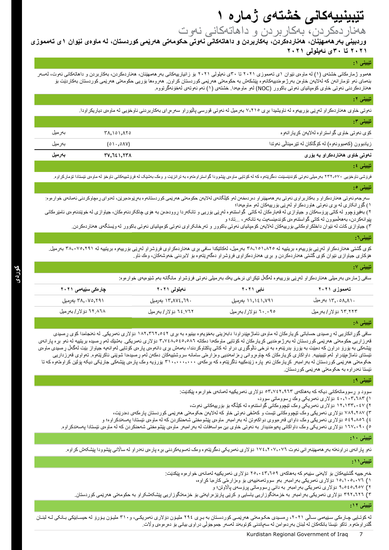### **تێبینییەكانی خشتەی ژمارە ۱**

هەناردەکردن، بەکاربردن و داهاتەكانى نەوت

**وردبینی بەرهەمهێنان، هەناردەکردن، بەکاربردن و داهاتەكانی نەوتی حکومەتی هەرێمی کوردستان، لە ماوەی نێوان ۱ى تەمموزی ٢٠٢۱ تا ۳٠ی ئەیلولی ٢٠٢۱**

#### **تێبینی :1**

هەموو ژمارەکانی خشتەی (۱) له ماوەی نێوان ۱ی تەمموزی ۲۰۲۱ تا ۳۰تی ئەیلول بولى بورغانی بەر هەمهپنان، هەناردەکردن، بەکاربردن و داهاتەکانی نەوت، لەسەر بنەمای ئەو تۆمارانەن كە لەلايەن خاوەن بەرژەوەندىيەكانەوە پێشكەش بە حكوموت بەردەما بۆرىی كى مەتقى ھەرتمى كوردستان بەكاردێت بۆ هەناردەكردنی نەوتی خاوی كۆمپانیای نەوتی باكوور )NOC )لەو ماوەیەدا. خشتەی )۱( ئەم نەوتەی لەخۆنەگرتووە.

#### **تێبینی :2**

نەوتی خاوی هەناردەكراو لەرنی بۆربیەوە لە ناویشیدا بړی ٧,٢١٥ بەرمیل لە نەوتی قورسی پالیوراو سەرەرای بەكاربردنی ناوخۆیی لە ماوەی دیاریكراودا.

| تيبيني ٢:                                             |                              |         |
|-------------------------------------------------------|------------------------------|---------|
| كۆي نەوتىي خاوى گواستراوه لەلايەن كړيارانەوه          | ۳۸,۱۵۱,۸۲۵                   | بەر مېل |
| زیادبوون (کەمبوونەوە) لەكۆگاكان لە تټرمينالْمى نەوتدا | $(0 \setminus ., 0 \land V)$ | بەر مېل |
| نەوتى خاوى ھەناردەكراو بە بۆرى                        | <u>۳۷, 721, 277</u>          | بەرمىل  |
|                                                       |                              |         |

#### **تێبینی :4**

فرۆشی ناوخۆیی ٢٣٢,٥٧٠ بەرمیلی نەوتی کۆندێنسێنت دەگرێتەوە کە لە کۆتى تواقىم بە قى تى تەرەپ بەشپک لەفرۇشىيەکانى ناوخۆ لەماوەی ئێستادا تۆماركراوە.

#### **تێبینی :5**

سەرجەم نەوتی هەناردەكراو و بەكاربراوی نەوتی بەر ھەمهێنراو دەردەخەن لەكرىك كەركەن كەردىستانەر مەبر پومدەبرێن، لەدوای رەچاوکردنی ئەمانەی خوارەوە: ١( گۆڕانکاری لە بڕی نەوتی هاوردەکراو لەڕێی بۆرییەکان لەو ماوەیەدا؛

٢) بەفیرۆچوو لە کاتی پرۆسەکان و جیاوازی لە قەبارەکان لە کاتی گواستنەوە لەرپی و تانکەردا روودەدەن بە ھۆی چاکەردنەو، غاندنەوەن ئامێرەکانی پێوانەکردن، بەهەڵمبوون لە کاتی گواستنەوەی کۆندەینسەیت بە تانکەر، ...تاد؛ و

٣) جیاوازی كات له نێوان داخلكراومكاني بۆرييەكان لەلايەن كۆمپانیای نەوتی رىمانكراوی نەوتی كۆمپانیای نەوتی باكوور لە وێستگەی هەناردەكردن.

#### **تێبینی:6**

کۆی گشتی هەناردەكراو لەڕێی بۆرییەوە بریتییە لە ٣8,۱5۱,8۲5 بەرمیل، لەكاتێكدا سافی بڕی هەناردەکراوی فرۆشراو لەڕێی بۆرییەوە بریتییە لە ٣8,۰٧5,۲٩۱ بەرمیل. هۆکاری جیاوازی نێوان كۆی گشتی هەناردەكردن و بڕی هەناردەکراوی فرۆشراو دەگەڕێتەوە بۆ البردنی خەوشەكان، وەك ئاو.

#### **تێبینی :7**

سافی ژمارەی بەرمیلى هەناردەکراو لەڕێی بۆرییەوە لەگەڵ تێكڕای نرخى یەك بەرمیلی نەوتی فرۆشراو مانگانە بەم شێوەیەی خوارەوە:

| چار ەكى سێيەمى ٢٠٢١    | ئەيلولى ۲۰۲۱              | فابی ۲۰۲۱             | تەمموزى ٢٠٢١          |
|------------------------|---------------------------|-----------------------|-----------------------|
| ۳۸٫۰۷٥٫۲۹۱ بەرمىل      | ۱۳,۸۷٤,٦٩۰ بەرمىل         | ۱۱٬۱٤۱٬۷۹۱ بەرمىل     | ۱۳٫۰۵۸٫۸۱۰ بەرمىل     |
| ۸٦۸. ۲۲ دۆلار / بەرمىل | ۲۲ ۱٤ ۲۰ دو لار / بهر میل | ۲۰.۰۹۰ دۆلار / بەرمېل | ۲۳ ۲۲۳ دۆلار / بەرمىل |
|                        |                           |                       |                       |

#### **تێبینی :8**

سافی گزرانكاریی له رـمسیدی حساباتی كریار مكان له ماوەی ئاماژ مپتروا به بوخویه بینی پوس ۱۸۲٫۳۲۲٫۰٤۲ دۆلاری ئەمریكی. له ئەنجامدا كۆی رـمسیدی قەرزاریی حكومەتی هەرټمی كوردستان لە بەرژەوەندیی كړیارەكان لەكقاشا كۇنان ٣,٧٤٨,٥٤٥,٥٨٦ دۆلاری ئەمریكی. بەشنڭ لەم رەسیدە بریتییە لە ئەو برە پارانەی پێشەكی به یۆرۆ دراون كه دەبێت به یۆرۆ بدرێنەو بە نرخی ئاڵوگۆردن باکتاوكردندا، بەمەش بری دانەوەی پارەی كۆتایی لەوانەیە جیاواز بێت لەگەڵ ردسیدی ماوەی ئیستای ئاماژمپێدراو لەم تێبینییه. داواكاری كړيارمكان كە چاوەړوانی پرەزامىنو سامانە سروشتییەكان دەكەن لەم رەسیدەدا شوێنی ناكرێتەوە. تەواوی قەرزداریی حکومەتی هەرټمی کوردستان لە بەرامبەر کریار مکان ئەو پارە زێنەکیه ناگرێتەوە کە برەپ ۱۱۰,۰۰۰,۰۰۰ پۆرۆپە وەک پارەی پێشەکی جارێکی دیکە پۆلێن کراوەتەوە کە تا ئێستا نەدراوە بە حکومەتی هەرێمی کوردستان.

#### **تێبینی :9**

سوود و ڕسووماتەكانی دیکە كە بەهاكەی 5٣,٧٤۲,٩6٣ دۆالری ئەمریكییە لەمانەی خوارەوە پێكدێت:

۱( ٤۰,۱۰٣,68٣ دۆالری ئەمریکی وەك ڕسووماتى سوود،

۲( ۱۲,۱٣٣,۰٤٧ دۆالری ئەمریکی وەک تێچووەکانی گواستنەوە لە کێڵگە بۆ بۆرییەکانی نەوت،

٣( ٧8٩,۲8٧ دۆالری ئەمریكی وەک تێچووەکانی تێست و کەشفی نەوتی خاو کە لەالیەن حکومەتی هەرێمی کوردستان پارەکەی دەدرێت،

٤( 5٤٩,856 دۆالری ئەمریكی وەک داوای قەرەبووی دواکەوتن لە بەرامبەر ماوەی پێشوەختی شەحنكردن کە لە ماوەی ئێستادا پەسەندکراوە؛ و

6) ۱۲۷,۰۹۰ دۆلاری ئەمریکی ومک داواکانی پەیوەندیدار به نەوتی خاوی بی مواسەفات له بەر امبەر ماوەی پێشوەختی شەحنكردن که له ماوەی ئێستادا پەسەندکراوە.

#### **تێبینی :1٠**

ئەو پارانەی دراونەتە بەر ھەمهێنەرانی نەوت ١٧٤,٢٠٧,٠٧٦ دۆلارى ئەمریکی نومومو وەک تەسویەکردنی بړه پارەی نەدراو لە سالانی پێشوودا پێشکەش کراوە.

#### **تێبینی:11**

خەرجییه گشتییەکان بۆ لایەنی سێیەم كە بەھاكەی ۲۰٫۰٤۳٫۲۰۹ دۆلاری ئەمریكییە لەمانەی خوار مو، پێكدێت:

۱) ۱5,۱۰5,۰٧6 دۆالری ئەمریكی بەرامبەر بەو سووتەمەنییەی بۆ وەزارەتی كارەبا كڕاوە،

۲) ٩,5٤5,٩5٧ دۆالری ئەمریكی بەرامبەر بە دانی ڕسووماتی پرۆسەی پااڵوتن؛ و

۳) ۳۹۲,۲۲٦ دۆلاری ئەمریکی بەرامبەر بە خزمەتگوزاریی یاسایی و کرێی پارێزەرایەتی بز خزمەتگوزاریی پێشکەشکراو بە حکومەتی هەرێمی كوردستان.

#### **تێبینی :12**

له کۆتایی چار مکی سنیهمی سالی ۲۰۲۱، رەسىدی حکومەتی هەریمی کوردستان به بړی ۲۹٤ ملیوّن دۆلاری ئەمریکی، و۳۱۰ ملیوّن یوروّ له حیسابیکی بانکی لـه لبنـان گلدراوەتەوە. تاکو ئێستا بانكەكان لە لبنان بەردەوامن لە سەپاندنی كۆتوبەند لەسەر جموجۆڵی دراوی بیانی بۆ دەرەوەی واڵت.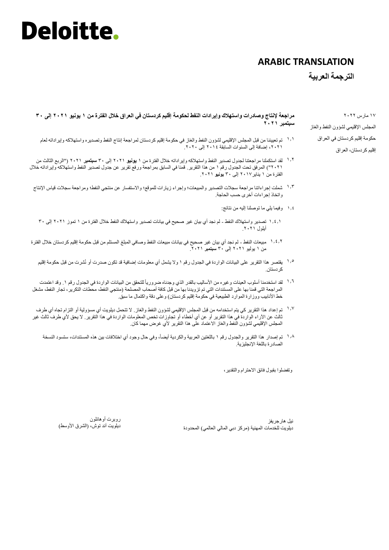#### **ARABIC TRANSLATION**

**الترجمة العربیة**

**مراجعة إلنتاج وصادرات واستهالك وإیرادات النفط لحكومة إقلیم كردستان في العراق خالل الفترة من 1 یونیو 2٠21 إلى 3٠ سبتمبر 2٠21**

- تم تعییننا من قبل المجلس اإلقلیمي لشؤون النفط والغاز في حكومة إقلیم كردستان لمراجعة إنتاج النفط وتصدیره واستهالكە وإیراداتە لعام ۱.۱ ،٢٠٢١ إضافة إلى السنوات السابقة ٢٠١٤ إلى .٢٠٢٠
- لقد استكملنا مراجعتنا لجدول تصدیر النفط واستهالكە وإیراداتە خالل الفترة من ١ **یونیو** ٢٠٢١ إلى ٣٠ **سبتمبر** ٢٠٢١ )"الربع الثالث من ۱.۲ ٢٠٢١"( المرفق تحت الجدول رقم ١ من هذا التقریر. قمنا في السابق بمراجعة ورفع تقریر عن جدول تصدیر النفط واستهالكە وإیراداتە خالل الفترة من ١ ینایر٢٠١٧ إلى ٣٠ **یونیو** .٢٠٢١
- شملت إجراءاتنا مراجعة سجالت التصدیر والمبیعات؛ وإجراء زیارات للموقع؛ واالستفسار عن منتجي النفط؛ ومراجعة سجالت قیاس اإلنتاج ۱.٣ واتخاذ إجراءات أخرى حسب الحاجة.
	- وفیما یلي ما توصلنا إلیە من نتائج: ۱.٤
	- تصدیر واستهالك النفط لم نجد أي بیان غیر صحیح في بیانات تصدیر واستهالك النفط خالل الفترة من ١ تموز ٢٠٢١ إلى ٣٠ ۱.٤.۱ أیلول .٢٠٢١
- مبیعات النفط لم نجد أي بیان غیر صحیح في بیانات مبیعات النفط وصافي المبلغ المستلم من قبل حكومة إقلیم كردستان خالل الفترة من ١ یولیو ٢٠٢١ إلى ٣٠ **سبتمبر** .٢٠٢١ ۱.٤.۲
	- یقتصر هذا التقریر على البیانات الواردة في الجدول رقم ١ وال یشمل أي معلومات إضافیة قد تكون صدرت أو نُشرت من قبل حكومة إقلیم ۱.5 كردستان.
- لقد استخدمنا أسلوب العينات وغيره من الأساليب بالقدر الذي وجدناه ضرورياً للتحقق من البيانات الواردة في الجدول رقم ١ . وقد اعتمدت المراجعة التي قمنا بها على المستندات التي تم تزویدنا بها من قبل كافة أصحاب المصلحة )منتجي النفط، محطات التكریر، تجار النفط، مشغل خط الأنابیب ووزارة الموارد الطبیعیة في حكومة إقلیم كردستان) وعلى دقة واكتمال ما سبق. ۱.6
- <sup>١,٧</sup> تم إعداد هذا التقرير كي يتم استخدامه من قبل المجلس الإقليمي لشؤون النفط والغاز . لا تتحمل ديلويت أي مسؤولية أو التزام تجاه أي طرف ثالث عن اآلراء الواردة في هذا التقریر أو عن أي أخطاء أو تجاوزات تخص المعلومات الواردة في هذا التقریر. ال یحق ألي طرف ثالث غیر المجلس الإقلیمی لشؤون الّنفط والغاز الاعتماد علّمی هذا التقریر لأي غرض مهما كان.
	- ١٠٨ تم إصدار هذا التقرير والجدول رقم ١ باللغتين العربية والكردية أيضاً، وفي حال وجود أي اختلافات ببين هذه المستندات، ستسود النسخة الصادرة باللغة اإلنجلیزیة.

وتفضلوا بقبول فائق االحترام والتقدیر،

نیل هارجریفز ديلويت للخدمات المهنية (مركز دبي المالي العالمي) المحدودة

روبرت أوهانلون دیلویت آند توش، (الشرق الأوسط)

١٧ مارس ٢٠٢٢ المجلس اإلقلیمي لشؤون النفط والغاز حكومة إقلیم كردستان في العراق إقلیم كردستان، العراق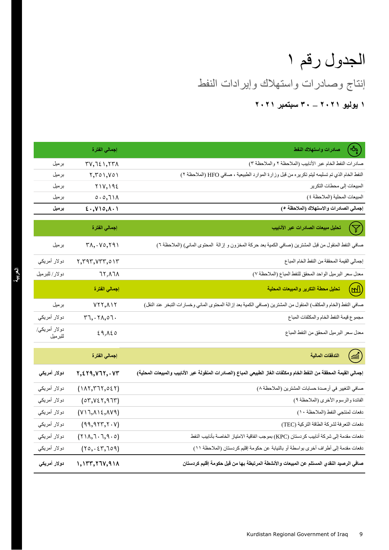## إنتاج وصادرات واستهالك وإیرادات النفط الجدول رقم ١ **1 یولیو 2٠21 – 3٠ سبتمبر 2٠21**

| 3<br>صادرات واستهلاك النفط                                                                                           | إجمالي الفترة                                           |                          |
|----------------------------------------------------------------------------------------------------------------------|---------------------------------------------------------|--------------------------|
| صادرات النفط الخام عبر الأنابيب (الملاحظة ٢ والملاحظة ٣)                                                             | $TV, I \in I, Y \cap A$                                 | برميل                    |
| النفط الخام الذي تم تسليمه ليتم تكريره من قبل وزارة الموارد الطبيعية ، صافي HFO (الملاحظة ٢)                         | Y,Y01,Y01                                               | برميل                    |
| المبيعات إلى محطات التكرير                                                                                           | Y1V,192                                                 | برميل                    |
| المبيعات المحلية (الملاحظة ٤ )                                                                                       | 0.0,711                                                 | برميل                    |
| إجمالي الصادرات والاستهلاك (الملاحظة ٥)                                                                              | $\xi \cdot y \wedge o, \Lambda \cdot \Lambda$           | برميل                    |
| تحليل مبيعات الصادرات عبر الأنابيب<br>$\mathbb {Y}$                                                                  | إجمالي الفترة                                           |                          |
| صافي النفط المنقول من قبل المشترين (صافي الكمية بعد حركة المخزون و إزالة  المحتوى المائي) (الملاحظة ٦)               | $\Upsilon\Lambda, \cdots$                               | برميل                    |
| إجمالي القيمة المحققة من النفط الخام المباع                                                                          | $Y, Y$ 9 $Y, VYY, o YY$                                 | دولار أمريكي             |
| معدل سعر البرميل الواحد المحقق للنفط المباع (الملاحظة ٧)                                                             | 1۲,۸٦۸                                                  | دولار/للبرميل            |
| (WJ)<br>تحليل محطة التكرير والمبيعات المحلية                                                                         | إ <mark>ج</mark> مالي الفترة                            |                          |
| صافي النفط (الخام والمكثف) المنقول من المشترين (صافي الكمية بعد إزالة المحتوى المائي وخسارات التبخر عند النقل)       | $VYY, \Lambda Y$                                        | برميل                    |
| مجموع قيمة النفط الخام والمكثفات المباع                                                                              | Y7, . YA, 07.                                           | دولار أمريكي             |
| معدل سعر البرميل المحقق من النفط المباع                                                                              | 29,120                                                  | دولار أمريكي/<br>للبرميل |
| التدفقات المالية<br>$\binom{1}{\text{min}}$                                                                          | إجمالى الفترة                                           |                          |
| إجمالي القيمة المحققة من النفط الخام ومكثفات الغاز الطبيعي المباع (الصادرات المنقولة عبر الأنابيب والمبيعات المحلية) | Y, EY9, V1Y, VY                                         | دولار أمريكي             |
| صافي التغيير في أرصدة حسابات المشترين (الملاحظة ٨)                                                                   | (11, 17, 17, 021)                                       | دولار أمريكي             |
| الفائدة والرسوم الأخرى (الملاحظة ٩)                                                                                  | (07, V27, 977)                                          | دولار أمريكي             |
| دفعات لمنتجي النفط (الملاحظة ١٠)                                                                                     | (V17, A12, A19)                                         | دولار أمريكي             |
| دفعات التعرفة لشركة الطاقة التركية (TEC)                                                                             | (99, 917, 7.7)                                          | دولار أمريكي             |
| دفعات مقدمة إلى شركة أنابيب كردستان (KPC) بموجب اتفاقية الامتياز الخاصة بأنابيب النفط                                | $(Y \setminus A, \top \cdot \top, \mathcal{A} \cdot o)$ | دولار أمريكي             |

دفعات مقدمة إلى أطراف أخرى بواسطة أو بالنیابة عن حكومة إقلیم كردستان )المالحظة ١١( )٢٥٬٠٤٣٬٦٥٩( دوالر أمریكي

**صافي الرصید النقدي المستلم عن المبیعات واألنشطة المرتبطة بها من قبل حكومة إقلیم كردستان ١٬١٣٣٬٢٦٧٬9١٨ دوالر أمریكي**

Kurdistan Regional Government of Iraq 9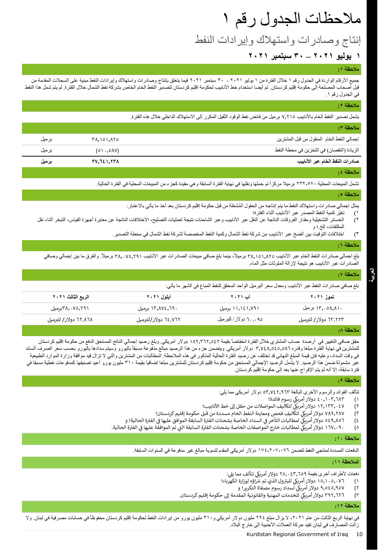## مالحظات الجدول رقم ١

إنتاج وصادرات واستهالك وإیرادات النفط

#### **1 یولیو 2٠21 – 3٠ سبتمبر 2٠21**

#### **مالحظة :1**

جمیع الأرقام الواردة في الجدول رقم ١ خلال الفترة من ١ یولیو ١٠ و ٣٠ متبر سبتمبر بانتاج وسادرات واستهلاك وإیرادات النفط مبنیة على السجلات المقدمة من قبل أصحاب المصلحة إلى حكومة إقليم كردستان. تم أيضا استخدام خط الأنابيب لحكوم إقليم كردستان لتصال لتصل فلاست لمحل الفترة. لم يتم شمل هذا النفط الشمال خلال الفترة. لم يتم شمل هذا النفط في الجدول رقم .١

#### **مالحظة :2**

یشمل تصدیر النفط الخام باألنابیب ٧٬٢١٥ برمیل من فائض نفط الوقود الثقیل المكرر إلى االستهالك الداخلي خالل هذه الفترة.

| إجمالي النفط الخام المنقول من قبل المشترين | ۳۸٬۱۵۱٬۸۲۵                 | برميل |
|--------------------------------------------|----------------------------|-------|
| الزيادة (النقصان) في التخزين في محطة النفط | $(0 \setminus .0 \land V)$ | برميل |
| صادرات النفط الخام عبر الأنابيب            | ۳۷,7٤۱,۲۳۸                 | برميل |

#### **مالحظة :4**

تشمل المبیعات المحلیة ٢٣٢,٥٧٠ برمیلا مركزاً تم حملها ونقلها في نهایة الفترة السابقة وهي مقیدة كجزء من المبیعات المحلیة في الفترة الحالیة.

#### ملا**حظة 0**:

يمثل إجمالي صادرات واستهلاك النفط ما يتم إنتاجه من الحقول المُشغلة من قبل حكومة إقليم كردستان بعد أخذ ما يأتي بالاعتبار : ١) تغیّر كمیة النفط المصدر عبر الأنابیب أثناء الفتر ة؛

- ٢) الخسائر التشغيلية ومقدار الفروقات الناتجة عن النقل عبر الأنابيب وعبر الشاحنات نتيجة لعمليات النحتات الناتجة عن معايرة أجهزة القياس، التبخر أثناء نقل المكثفات، إلخ.؛ و
	- ٣) اختالفات التوقیت بین الضخ عبر األنابیب من شركة نفط الشمال وكمیة النفط المخصصة لشركة نفط الشمال في محطة التصدیر.

#### **مالحظة :6**

بلغ اجمالي صادر ات النفط الخام عبر الأنابيب ٣٨٬١٥١٫٨٢٥ برميلاً، بينما بلغ صافي مبيعات الصادر ات عبر الأنابيب ٣٨٬٠٧٥٬٢٩١ برميلاً. والفرق ما بين إجمالي وصافي الصادرات عبر األنابیب هو نتیجة إلزالة الملوثات مثل الماء.

#### **مالحظة :7 العربیة**

بلغ صافي صادرات النفط عبر األنابیب ومعدل سعر البرمیل الواحد المحقق للنفط المباع في الشهر ما یأتي:

| الربع الثالث ٢٠٢١     | آیلول ۲۰۲۱           | آب ۲۰۲۱              | تموز ۲۰۲۱             |
|-----------------------|----------------------|----------------------|-----------------------|
| ۳۸٫۰۷٥٫۲۹۱ برمیل      | ۱۳٫۸۷٤,٦٩۰ برمیل     | ۱۱٫۱٤۱٫۷۹۱ برمیل     | ۱۳٫۰۵۸,۸۱۰ بر میل     |
| ٦٢,٨٦٨ دولار/ للبرميل | ٦٤,٧٦٢ دولار/للبرميل | ٦٠,٠٩٥ دولار/للبرميل | ٦٣,٢٢٣ دولار/ للبرميل |
|                       |                      |                      | <b>ALCOHOL: NA</b>    |

#### **مالحظة :8**

حقق صافي التغيير في أرصدة حساب المشتري خلال الفترة انخفاضاً بقيمة ١٨٢٫٣٦٢٫٥٤٢ دولار أمريكي. وبلغ رصيد إجمالي الناتج المستحق الدفع من حكومة إقليم كردستان للمشترين في نهاية الفترة مبلغا وقدر ٣٫٧٤٨٫٥٤٥٫٥٨٦ دولار أمريكي. ويتضمن جزء من هذا الرصيد مبالغ مدفوعة مسبقأ باليورو وسيتم سدادها باليورو بحسب سعر الصرف السائد في وقت السداد، وعليه في قيمة المبلغ النهائي قد تختلف عن رصيد الفترة الملالول في هذه المدلليات المطالبات من المشترين والتي لا تزال قيد موافقة وزارة الموارد الطبيعية غیر مشمولة ضمن هذا الرصید. لا یشمل الرصید الإجمالي المستحق من حكومة إقلیم كردستان للمشترین مبلغین بورو الید المشترین به دانشمیها كمدفوعات نفطیة مسبقا في فترة سابقة، إال أنە لم یتم اإلفراج عنها بعد إلى حكومة إقلیم كردستان.

#### **مالحظة :9**

تتألف الفوائد والرسوم األخرى البالغة ٥٣٬٧٤٢٬٩٦٣ دوالر أمریكي مما یلي:

- ١) دولار أمريكي رسوم فائدة؛<br>...
- يك ٢) ١٢٬١٣٣٬٠٤٧ لتكاليف المواصالت من حقل إىل خط األنابيب؛ دوالر أمري
- ٣) ٧٨٩,٢٨٧ دولار أمريكي لتكاليف فحصٍ ومعاينة النفط الخام مسددة من قبل حكومة إقليم كردستان؛ : ֧֦֧֦֧֦֧֦֧֦֧֦֧֦֧֦֧֦֧֚֬֜֜֓֓֡֜֜֜֜֜֞֓֡֬
- ٤) ٥٤٩٫٨٥٦ دولار أمريكي لمطالبات التأخر في السداد الخاصة بشحنات الفترة السابقة الموافق عليها في الفترة الحالية؛ و ي ي ֦֧֦֧֦֧<u>֓</u>
- ٥) ١٦٧,٠٩٠ دولار أمريكي لمطالبات خارج المواصفات الخاصة بشحنات الفترة السابقة التي تم الموافقة عليها في الفترة الحالية. ي ي

#### **مالحظة :1٠**

الدفعات المسددة لمنتجي النفط تتضمن ١٧٤,٢٠٧,٠٧٦ دوالر أمریكي المقدم لتسویة مبالغ غیر مدفوعة في السنوات السابقة.

#### **المالحظة :11**

دفعات لأطراف أخرى بقيمة ٢٥٫٠٤٣٫٦٥٩ دولار أمريكي تتألف مما يلي:

- ا) مستقرر التابع التي تم تشرون الذي تم شراؤه لوزارة الكهرباء؛
	- ٢) ٩,٥٤٥,٩٥٧ دولار أمريكي لسداد رسوم مصفاة التكرير؛ و
- ٣) ٣٩٢,٦٢٦ دولار أمريكي للخدمات المهنية والقانونية المقدمة إلى حكومة إقليم كردستان.

#### **مالحظة :12**

في نهاية الربع الثالث من عام ٢٠٢١، لا يزال مبلغ ٢٩٤ مليون ولي رسم 11 مليون يورو من إيرادات النفط لحكومة إقليم كردستان محفوظاً في حسابات مصرفية في لبنان. ولا زالت المصارف في لبنان تقید حركة العمالت األجنبیة إلى خارج البالد.